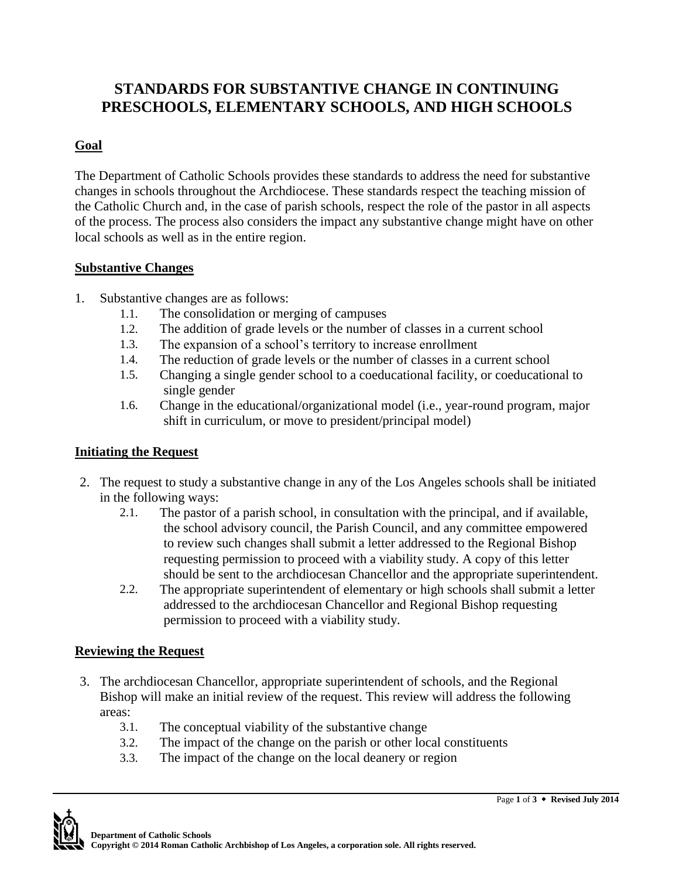# **STANDARDS FOR SUBSTANTIVE CHANGE IN CONTINUING PRESCHOOLS, ELEMENTARY SCHOOLS, AND HIGH SCHOOLS**

### **Goal**

The Department of Catholic Schools provides these standards to address the need for substantive changes in schools throughout the Archdiocese. These standards respect the teaching mission of the Catholic Church and, in the case of parish schools, respect the role of the pastor in all aspects of the process. The process also considers the impact any substantive change might have on other local schools as well as in the entire region.

#### **Substantive Changes**

- 1. Substantive changes are as follows:
	- 1.1. The consolidation or merging of campuses
	- 1.2. The addition of grade levels or the number of classes in a current school
	- 1.3. The expansion of a school's territory to increase enrollment
	- 1.4. The reduction of grade levels or the number of classes in a current school
	- 1.5. Changing a single gender school to a coeducational facility, or coeducational to single gender
	- 1.6. Change in the educational/organizational model (i.e., year-round program, major shift in curriculum, or move to president/principal model)

# **Initiating the Request**

- 2. The request to study a substantive change in any of the Los Angeles schools shall be initiated in the following ways:
	- 2.1. The pastor of a parish school, in consultation with the principal, and if available, the school advisory council, the Parish Council, and any committee empowered to review such changes shall submit a letter addressed to the Regional Bishop requesting permission to proceed with a viability study. A copy of this letter should be sent to the archdiocesan Chancellor and the appropriate superintendent.
	- 2.2. The appropriate superintendent of elementary or high schools shall submit a letter addressed to the archdiocesan Chancellor and Regional Bishop requesting permission to proceed with a viability study.

# **Reviewing the Request**

- 3. The archdiocesan Chancellor, appropriate superintendent of schools, and the Regional Bishop will make an initial review of the request. This review will address the following areas:
	- 3.1. The conceptual viability of the substantive change
	- 3.2. The impact of the change on the parish or other local constituents
	- 3.3. The impact of the change on the local deanery or region

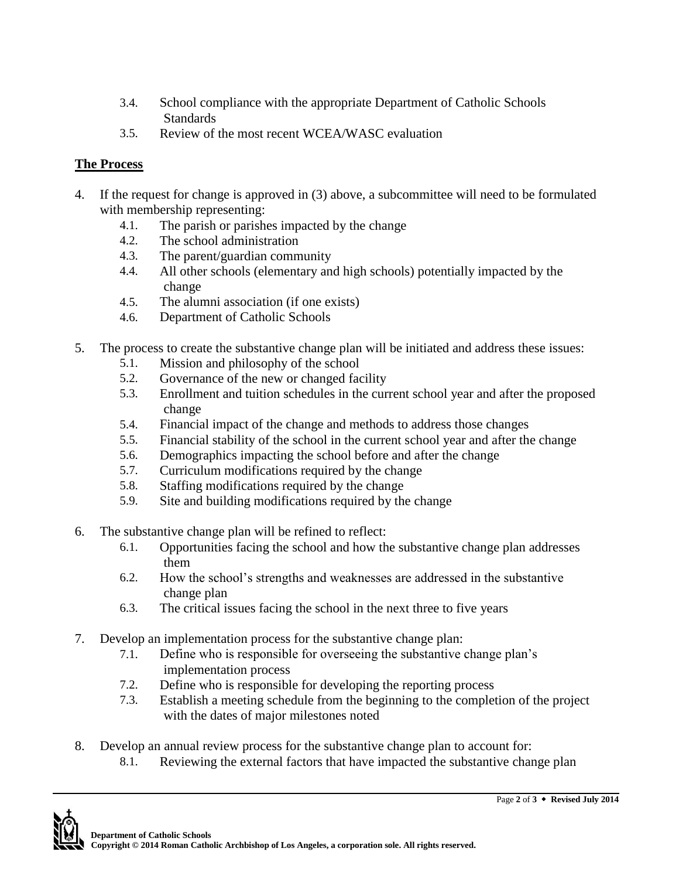- 3.4. School compliance with the appropriate Department of Catholic Schools **Standards**
- 3.5. Review of the most recent WCEA/WASC evaluation

### **The Process**

- 4. If the request for change is approved in (3) above, a subcommittee will need to be formulated with membership representing:
	- 4.1. The parish or parishes impacted by the change
	- 4.2. The school administration
	- 4.3. The parent/guardian community
	- 4.4. All other schools (elementary and high schools) potentially impacted by the change
	- 4.5. The alumni association (if one exists)
	- 4.6. Department of Catholic Schools
- 5. The process to create the substantive change plan will be initiated and address these issues:
	- 5.1. Mission and philosophy of the school
	- 5.2. Governance of the new or changed facility
	- 5.3. Enrollment and tuition schedules in the current school year and after the proposed change
	- 5.4. Financial impact of the change and methods to address those changes
	- 5.5. Financial stability of the school in the current school year and after the change
	- 5.6. Demographics impacting the school before and after the change
	- 5.7. Curriculum modifications required by the change
	- 5.8. Staffing modifications required by the change
	- 5.9. Site and building modifications required by the change
- 6. The substantive change plan will be refined to reflect:
	- 6.1. Opportunities facing the school and how the substantive change plan addresses them
	- 6.2. How the school's strengths and weaknesses are addressed in the substantive change plan
	- 6.3. The critical issues facing the school in the next three to five years
- 7. Develop an implementation process for the substantive change plan:
	- 7.1. Define who is responsible for overseeing the substantive change plan's implementation process
	- 7.2. Define who is responsible for developing the reporting process
	- 7.3. Establish a meeting schedule from the beginning to the completion of the project with the dates of major milestones noted
- 8. Develop an annual review process for the substantive change plan to account for:
	- 8.1. Reviewing the external factors that have impacted the substantive change plan